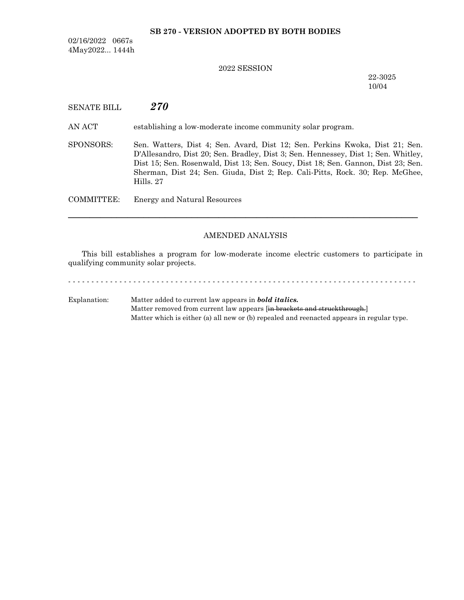### **SB 270 - VERSION ADOPTED BY BOTH BODIES**

02/16/2022 0667s 4May2022... 1444h

## 2022 SESSION

22-3025 10/04

SENATE BILL *270*

AN ACT establishing a low-moderate income community solar program.

SPONSORS: Sen. Watters, Dist 4; Sen. Avard, Dist 12; Sen. Perkins Kwoka, Dist 21; Sen. D'Allesandro, Dist 20; Sen. Bradley, Dist 3; Sen. Hennessey, Dist 1; Sen. Whitley, Dist 15; Sen. Rosenwald, Dist 13; Sen. Soucy, Dist 18; Sen. Gannon, Dist 23; Sen. Sherman, Dist 24; Sen. Giuda, Dist 2; Rep. Cali-Pitts, Rock. 30; Rep. McGhee, Hills. 27

COMMITTEE: Energy and Natural Resources

## AMENDED ANALYSIS

─────────────────────────────────────────────────────────────────

This bill establishes a program for low-moderate income electric customers to participate in qualifying community solar projects.

- - - - - - - - - - - - - - - - - - - - - - - - - - - - - - - - - - - - - - - - - - - - - - - - - - - - - - - - - - - - - - - - - - - - - - - - - - - Explanation: Matter added to current law appears in *bold italics.*

Matter removed from current law appears [in brackets and struckthrough.] Matter which is either (a) all new or (b) repealed and reenacted appears in regular type.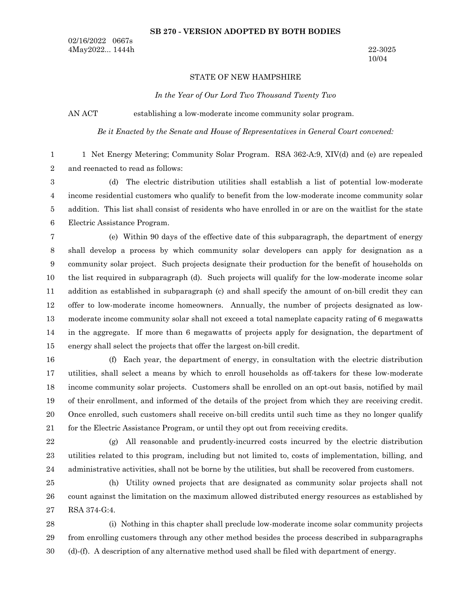#### **SB 270 - VERSION ADOPTED BY BOTH BODIES**

02/16/2022 0667s 4May2022... 1444h 22-3025

## STATE OF NEW HAMPSHIRE

*In the Year of Our Lord Two Thousand Twenty Two*

AN ACT establishing a low-moderate income community solar program.

*Be it Enacted by the Senate and House of Representatives in General Court convened:*

1 Net Energy Metering; Community Solar Program. RSA 362-A:9, XIV(d) and (e) are repealed and reenacted to read as follows: 1 2

(d) The electric distribution utilities shall establish a list of potential low-moderate income residential customers who qualify to benefit from the low-moderate income community solar addition. This list shall consist of residents who have enrolled in or are on the waitlist for the state Electric Assistance Program. 3 4 5 6

(e) Within 90 days of the effective date of this subparagraph, the department of energy shall develop a process by which community solar developers can apply for designation as a community solar project. Such projects designate their production for the benefit of households on the list required in subparagraph (d). Such projects will qualify for the low-moderate income solar addition as established in subparagraph (c) and shall specify the amount of on-bill credit they can offer to low-moderate income homeowners. Annually, the number of projects designated as lowmoderate income community solar shall not exceed a total nameplate capacity rating of 6 megawatts in the aggregate. If more than 6 megawatts of projects apply for designation, the department of energy shall select the projects that offer the largest on-bill credit. 7 8 9 10 11 12 13 14 15

(f) Each year, the department of energy, in consultation with the electric distribution utilities, shall select a means by which to enroll households as off-takers for these low-moderate income community solar projects. Customers shall be enrolled on an opt-out basis, notified by mail of their enrollment, and informed of the details of the project from which they are receiving credit. Once enrolled, such customers shall receive on-bill credits until such time as they no longer qualify for the Electric Assistance Program, or until they opt out from receiving credits. 16 17 18 19 20 21

(g) All reasonable and prudently-incurred costs incurred by the electric distribution 22 23

24

utilities related to this program, including but not limited to, costs of implementation, billing, and administrative activities, shall not be borne by the utilities, but shall be recovered from customers. (h) Utility owned projects that are designated as community solar projects shall not

count against the limitation on the maximum allowed distributed energy resources as established by RSA 374-G:4. 25 26 27

(i) Nothing in this chapter shall preclude low-moderate income solar community projects from enrolling customers through any other method besides the process described in subparagraphs (d)-(f). A description of any alternative method used shall be filed with department of energy. 28 29 30